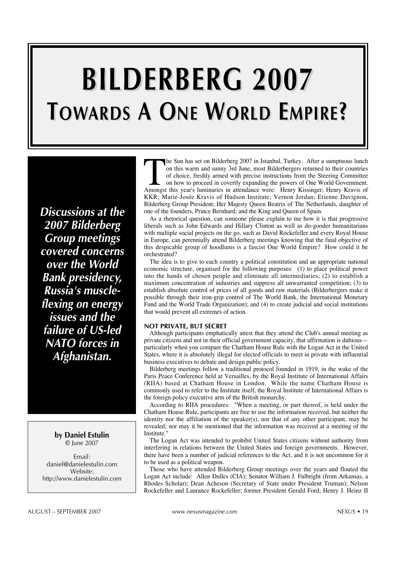# **BILDERBERG ILDERBERG 2007 TOWARDS A** ONE WORLD EMPIRE?

*Discussions at the 2007 Bilderberg Group meetings covered concerns over the World Bank presidency, Russia's muscleflexing on energy issues and the failure of US-led NATO forces in Afghanistan.* 

> **by Daniel Estulin**  © June 2007

Email: daniel@danielestulin.com Website: http://www.danielestulin.com

The Sun has set on Bilderberg 2007 in Istanbul, Turkey. After a sumptuous lunch on this warm and sunny 3rd June, most Bilderbergers returned to their countries of choice, freshly armed with precise instructions from the Steering Committee on how to proceed in covertly expanding the powers of One World Government. Amongst this year's luminaries in attendance were: Henry Kissinger; Henry Kravis of KKR; Marie-Josée Kravis of Hudson Institute; Vernon Jordan; Etienne Davignon, Bilderberg Group President; Her Majesty Queen Beatrix of The Netherlands, daughter of one of the founders, Prince Bernhard; and the King and Queen of Spain.

As a rhetorical question, can someone please explain to me how it is that progressive liberals such as John Edwards and Hillary Clinton as well as do-gooder humanitarians with multiple social projects on the go, such as David Rockefeller and every Royal House in Europe, can perennially attend Bilderberg meetings knowing that the final objective of this despicable group of hoodlums is a fascist One World Empire? How could it be orchestrated?

The idea is to give to each country a political constitution and an appropriate national economic structure, organised for the following purposes: (1) to place political power into the hands of chosen people and eliminate all intermediaries; (2) to establish a maximum concentration of industries and suppress all unwarranted competition; (3) to establish absolute control of prices of all goods and raw materials (Bilderbergers make it possible through their iron-grip control of The World Bank, the International Monetary Fund and the World Trade Organization); and (4) to create judicial and social institutions that would prevent all extremes of action.

# **NOT PRIVATE, BUT SECRET**

Although participants emphatically attest that they attend the Club's annual meeting as private citizens and not in their official government capacity, that affirmation is dubious particularly when you compare the Chatham House Rule with the Logan Act in the United States, where it is absolutely illegal for elected officials to meet in private with influential business executives to debate and design public policy.

Bilderberg meetings follow a traditional protocol founded in 1919, in the wake of the Paris Peace Conference held at Versailles, by the Royal Institute of International Affairs (RIIA) based at Chatham House in London. While the name Chatham House is commonly used to refer to the Institute itself, the Royal Institute of International Affairs is the foreign policy executive arm of the British monarchy.

According to RIIA procedures: "When a meeting, or part thereof, is held under the Chatham House Rule, participants are free to use the information received, but neither the identity nor the affiliation of the speaker(s), nor that of any other participant, may be revealed; nor may it be mentioned that the information was received at a meeting of the Institute."

The Logan Act was intended to prohibit United States citizens without authority from interfering in relations between the United States and foreign governments. However, there have been a number of judicial references to the Act, and it is not uncommon for it to be used as a political weapon.

Those who have attended Bilderberg Group meetings over the years and flouted the Logan Act include: Allen Dulles (CIA); Senator William J. Fulbright (from Arkansas, a Rhodes Scholar); Dean Acheson (Secretary of State under President Truman); Nelson Rockefeller and Laurance Rockefeller; former President Gerald Ford; Henry J. Heinz II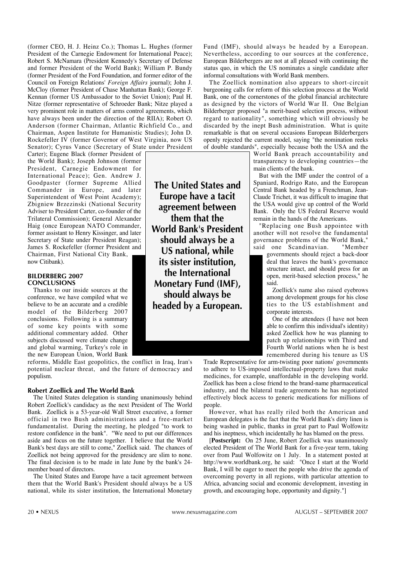(former CEO, H. J. Heinz Co.); Thomas L. Hughes (former President of the Carnegie Endowment for International Peace); Robert S. McNamara (President Kennedy's Secretary of Defense and former President of the World Bank); William P. Bundy (former President of the Ford Foundation, and former editor of the Council on Foreign Relations' *Foreign Affairs* journal); John J. McCloy (former President of Chase Manhattan Bank); George F. Kennan (former US Ambassador to the Soviet Union); Paul H. Nitze (former representative of Schroeder Bank; Nitze played a very prominent role in matters of arms control agreements, which have always been under the direction of the RIIA); Robert O. Anderson (former Chairman, Atlantic Richfield Co., and Chairman, Aspen Institute for Humanistic Studies); John D. Rockefeller IV (former Governor of West Virginia, now US Senator); Cyrus Vance (Secretary of State under President

Carter); Eugene Black (former President of the World Bank); Joseph Johnson (former President, Carnegie Endowment for International Peace); Gen. Andrew J. Goodpaster (former Supreme Allied Commander in Europe, and later Superintendent of West Point Academy); Zbigniew Brzezinski (National Security Adviser to President Carter, co-founder of the Trilateral Commission); General Alexander Haig (once European NATO Commander, former assistant to Henry Kissinger, and later Secretary of State under President Reagan); James S. Rockefeller (former President and Chairman, First National City Bank, now Citibank).

# **BILDERBERG 2007 CONCLUSIONS**

Thanks to our inside sources at the conference, we have compiled what we believe to be an accurate and a credible model of the Bilderberg 2007 conclusions. Following is a summary of some key points with some additional commentary added. Other subjects discussed were climate change and global warming, Turkey's role in the new European Union, World Bank

reforms, Middle East geopolitics, the conflict in Iraq, Iran's potential nuclear threat, and the future of democracy and populism.

### **Robert Zoellick and The World Bank**

The United States delegation is standing unanimously behind Robert Zoellick's candidacy as the next President of The World Bank. Zoellick is a 53-year-old Wall Street executive, a former official in two Bush administrations and a free-market fundamentalist. During the meeting, he pledged "to work to restore confidence in the bank". "We need to put our differences aside and focus on the future together. I believe that the World Bank's best days are still to come," Zoellick said. The chances of Zoellick not being approved for the presidency are slim to none. The final decision is to be made in late June by the bank's 24 member board of directors.

The United States and Europe have a tacit agreement between them that the World Bank's President should always be a US national, while its sister institution, the International Monetary

**The United States and Europe have a tacit agreement between them that the World Bank's President should always be a US national, while its sister institution, the International Monetary Fund (IMF), should always be headed by a European.** 

Fund (IMF), should always be headed by a European. Nevertheless, according to our sources at the conference, European Bilderbergers are not at all pleased with continuing the status quo, in which the US nominates a single candidate after informal consultations with World Bank members.

The Zoellick nomination also appears to short-circuit burgeoning calls for reform of this selection process at the World Bank, one of the cornerstones of the global financial architecture as designed by the victors of World War II. One Belgian Bilderberger proposed "a merit-based selection process, without regard to nationality", something which will obviously be discarded by the inept Bush administration. What is quite remarkable is that on several occasions European Bilderbergers openly rejected the current model, saying "the nomination reeks of double standards", especially because both the USA and the

> World Bank preach accountability and transparency to developing countries—the main clients of the bank.

> But with the IMF under the control of a Spaniard, Rodrigo Rato, and the European Central Bank headed by a Frenchman, Jean-Claude Trichet, it was difficult to imagine that the USA would give up control of the World Bank. Only the US Federal Reserve would remain in the hands of the Americans.

> "Replacing one Bush appointee with another will not resolve the fundamental governance problems of the World Bank," said one Scandinavian. "Member

governments should reject a back-door deal that leaves the bank's governance structure intact, and should press for an open, merit-based selection process," he said.

Zoellick's name also raised eyebrows among development groups for his close ties to the US establishment and corporate interests.

One of the attendees (I have not been able to confirm this individual's identity) asked Zoellick how he was planning to patch up relationships with Third and Fourth World nations when he is best remembered during his tenure as US

Trade Representative for arm-twisting poor nations' governments to adhere to US-imposed intellectual-property laws that make medicines, for example, unaffordable in the developing world. Zoellick has been a close friend to the brand-name pharmaceutical industry, and the bilateral trade agreements he has negotiated effectively block access to generic medications for millions of people.

However, what has really riled both the American and European delegates is the fact that the World Bank's dirty linen is being washed in public, thanks in great part to Paul Wolfowitz and his ineptness, which incidentally he has blamed on the press.

[**Postscript:** On 25 June, Robert Zoellick was unanimously elected President of The World Bank for a five-year term, taking over from Paul Wolfowitz on 1 July. In a statement posted at http://www.worldbank.org, he said: "Once I start at the World Bank, I will be eager to meet the people who drive the agenda of overcoming poverty in all regions, with particular attention to Africa, advancing social and economic development, investing in growth, and encouraging hope, opportunity and dignity."]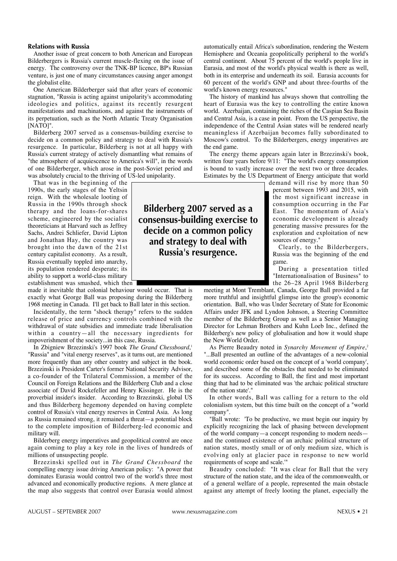### **Relations with Russia**

Another issue of great concern to both American and European Bilderbergers is Russia's current muscle-flexing on the issue of energy. The controversy over the TNK-BP licence, BP's Russian venture, is just one of many circumstances causing anger amongst the globalist elite.

One American Bilderberger said that after years of economic stagnation, "Russia is acting against unipolarity's accommodating ideologies and politics, against its recently resurgent manifestations and machinations, and against the instruments of its perpetuation, such as the North Atlantic Treaty Organisation [NATO]".

Bilderberg 2007 served as a consensus-building exercise to decide on a common policy and strategy to deal with Russia's resurgence. In particular, Bilderberg is not at all happy with Russia's current strategy of actively dismantling what remains of "the atmosphere of acquiescence to America's will", in the words of one Bilderberger, which arose in the post-Soviet period and was absolutely crucial to the thriving of US-led unipolarity.

That was in the beginning of the 1990s, the early stages of the Yeltsin reign. With the wholesale looting of Russia in the 1990s through shock therapy and the loans-for-shares scheme, engineered by the socialist theoreticians at Harvard such as Jeffrey Sachs, Andrei Schliefer, David Lipton and Jonathan Hay, the country was brought into the dawn of the 21st century capitalist economy. As a result, Russia eventually toppled into anarchy, its population rendered desperate; its ability to support a world-class military establishment was smashed, which then

made it inevitable that colonial behaviour would occur. That is exactly what George Ball was proposing during the Bilderberg 1968 meeting in Canada. I'll get back to Ball later in this section.

Incidentally, the term "shock therapy" refers to the sudden release of price and currency controls combined with the withdrawal of state subsidies and immediate trade liberalisation within a country—all the necessary ingredients for impoverishment of the society...in this case, Russia.

In Zbigniew Brzezinski's 1997 book *The Grand Chessboard*, 1 "Russia" and "vital energy reserves", as it turns out, are mentioned more frequently than any other country and subject in the book. Brzezinski is President Carter's former National Security Advisor, a co-founder of the Trilateral Commission, a member of the Council on Foreign Relations and the Bilderberg Club and a close associate of David Rockefeller and Henry Kissinger. He is the proverbial insider's insider. According to Brzezinski, global US and thus Bilderberg hegemony depended on having complete control of Russia's vital energy reserves in Central Asia. As long as Russia remained strong, it remained a threat—a potential block to the complete imposition of Bilderberg-led economic and military will.

Bilderberg energy imperatives and geopolitical control are once again coming to play a key role in the lives of hundreds of millions of unsuspecting people.

Brzezinski spelled out in *The Grand Chessboard* the compelling energy issue driving American policy: "A power that dominates Eurasia would control two of the world's three most advanced and economically productive regions. A mere glance at the map also suggests that control over Eurasia would almost automatically entail Africa's subordination, rendering the Western Hemisphere and Oceania geopolitically peripheral to the world's central continent. About 75 percent of the world's people live in Eurasia, and most of the world's physical wealth is there as well, both in its enterprise and underneath its soil. Eurasia accounts for 60 percent of the world's GNP and about three-fourths of the world's known energy resources."

The history of mankind has always shown that controlling the heart of Eurasia was the key to controlling the entire known world. Azerbaijan, containing the riches of the Caspian Sea Basin and Central Asia, is a case in point. From the US perspective, the independence of the Central Asian states will be rendered nearly meaningless if Azerbaijan becomes fully subordinated to Moscow's control. To the Bilderbergers, energy imperatives are the end game.

The energy theme appears again later in Brzezinski's book, written four years before 9/11: "The world's energy consumption is bound to vastly increase over the next two or three decades. Estimates by the US Department of Energy anticipate that world

> demand will rise by more than 50 percent between 1993 and 2015, with the most significant increase in consumption occurring in the Far East. The momentum of Asia's economic development is already generating massive pressures for the exploration and exploitation of new sources of energy."

Clearly, to the Bilderbergers, Russia was the beginning of the end game.

During a presentation titled "Internationalisation of Business" to the 26–28 April 1968 Bilderberg

meeting at Mont Tremblant, Canada, George Ball provided a far more truthful and insightful glimpse into the group's economic orientation. Ball, who was Under Secretary of State for Economic Affairs under JFK and Lyndon Johnson, a Steering Committee member of the Bilderberg Group as well as a Senior Managing Director for Lehman Brothers and Kuhn Loeb Inc., defined the Bilderberg's new policy of globalisation and how it would shape the New World Order.

As Pierre Beaudry noted in *Synarchy Movement of Empire*, 2 "...Ball presented an outline of the advantages of a new-colonial world economic order based on the concept of a 'world company', and described some of the obstacles that needed to be eliminated for its success. According to Ball, the first and most important thing that had to be eliminated was 'the archaic political structure of the nation state'."

In other words, Ball was calling for a return to the old colonialism system, but this time built on the concept of a "world company".

"Ball wrote: 'To be productive, we must begin our inquiry by explicitly recognizing the lack of phasing between development of the world company—a concept responding to modern needs and the continued existence of an archaic political structure of nation states, mostly small or of only medium size, which is evolving only at glacier pace in response to new world requirements of scope and scale.'"

Beaudry concluded: "It was clear for Ball that the very structure of the nation state, and the idea of the commonwealth, or of a general welfare of a people, represented the main obstacle against any attempt of freely looting the planet, especially the

**Bilderberg 2007 served as a consensus-building exercise to decide on a common policy and strategy to deal with Russia's resurgence.**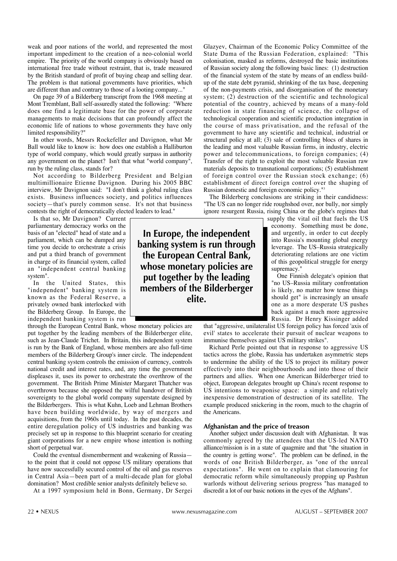weak and poor nations of the world, and represented the most important impediment to the creation of a neo-colonial world empire. The priority of the world company is obviously based on international free trade without restraint, that is, trade measured by the British standard of profit of buying cheap and selling dear. The problem is that national governments have priorities, which are different than and contrary to those of a looting company..."

On page 39 of a Bilderberg transcript from the 1968 meeting at Mont Tremblant, Ball self-assuredly stated the following: "Where does one find a legitimate base for the power of corporate managements to make decisions that can profoundly affect the economic life of nations to whose governments they have only limited responsibility?"

In other words, Messrs Rockefeller and Davignon, what Mr Ball would like to know is: how does one establish a Halliburton type of world company, which would greatly surpass in authority any government on the planet? Isn't that what "world company", run by the ruling class, stands for?

Not according to Bilderberg President and Belgian multimillionaire Etienne Davignon. During his 2005 BBC interview, Mr Davignon said: "I don't think a global ruling class exists. Business influences society, and politics influences society—that's purely common sense. It's not that business contests the right of democratically elected leaders to lead."

Is that so, Mr Davignon? Current parliamentary democracy works on the basis of an "elected" head of state and a parliament, which can be dumped any time you decide to orchestrate a crisis and put a third branch of government in charge of its financial system, called an "independent central banking system".

In the United States, this "independent" banking system is known as the Federal Reserve, a privately owned bank interlocked with the Bilderberg Group. In Europe, the independent banking system is run

through the European Central Bank, whose monetary policies are put together by the leading members of the Bilderberger elite, such as Jean-Claude Trichet. In Britain, this independent system is run by the Bank of England, whose members are also full-time members of the Bilderberg Group's inner circle. The independent central banking system controls the emission of currency, controls national credit and interest rates, and, any time the government displeases it, uses its power to orchestrate the overthrow of the government. The British Prime Minister Margaret Thatcher was overthrown because she opposed the wilful handover of British sovereignty to the global world company superstate designed by the Bilderbergers. This is what Kuhn, Loeb and Lehman Brothers have been building worldwide, by way of mergers and acquisitions, from the 1960s until today. In the past decades, the entire deregulation policy of US industries and banking was precisely set up in response to this blueprint scenario for creating giant corporations for a new empire whose intention is nothing short of perpetual war.

Could the eventual dismemberment and weakening of Russia to the point that it could not oppose US military operations that have now successfully secured control of the oil and gas reserves in Central Asia—been part of a multi-decade plan for global domination? Most credible senior analysts definitely believe so.

At a 1997 symposium held in Bonn, Germany, Dr Sergei

Glazyev, Chairman of the Economic Policy Committee of the State Duma of the Russian Federation, explained: "This colonisation, masked as reforms, destroyed the basic institutions of Russian society along the following basic lines: (1) destruction of the financial system of the state by means of an endless buildup of the state debt pyramid, shrinking of the tax base, deepening of the non-payments crisis, and disorganisation of the monetary system; (2) destruction of the scientific and technological potential of the country, achieved by means of a many-fold reduction in state financing of science, the collapse of technological cooperation and scientific production integration in the course of mass privatisation, and the refusal of the government to have any scientific and technical, industrial or structural policy at all; (3) sale of controlling blocs of shares in the leading and most valuable Russian firms, in industry, electric power and telecommunications, to foreign companies; (4) Transfer of the right to exploit the most valuable Russian raw materials deposits to transnational corporations; (5) establishment of foreign control over the Russian stock exchange; (6) establishment of direct foreign control over the shaping of Russian domestic and foreign economic policy."3

The Bilderberg conclusions are striking in their candidness: "The US can no longer ride roughshod over, nor bully, nor simply ignore resurgent Russia, rising China or the globe's regimes that

supply the vital oil that fuels the US economy. Something must be done, and urgently, in order to cut deeply into Russia's mounting global energy leverage. The US–Russia strategically deteriorating relations are one victim of this geopolitical struggle for energy supremacy.'

One Finnish delegate's opinion that "no US–Russia military confrontation is likely, no matter how tense things should get" is increasingly an unsafe one as a more desperate US pushes back against a much more aggressive Russia. Dr Henry Kissinger added

that "aggressive, unilateralist US foreign policy has forced 'axis of evil' states to accelerate their pursuit of nuclear weapons to immunise themselves against US military strikes".

Richard Perle pointed out that in response to aggressive US tactics across the globe, Russia has undertaken asymmetric steps to undermine the ability of the US to project its military power effectively into their neighbourhoods and into those of their partners and allies. When one American Bilderberger tried to object, European delegates brought up China's recent response to US intentions to weaponise space: a simple and relatively inexpensive demonstration of destruction of its satellite. The example produced snickering in the room, much to the chagrin of the Americans.

### **Afghanistan and the price of treason**

Another subject under discussion dealt with Afghanistan. It was commonly agreed by the attendees that the US-led NATO alliance/mission is in a state of quagmire and that "the situation in the country is getting worse". The problem can be defined, in the words of one British Bilderberger, as "one of the unreal expectations". He went on to explain that clamouring for democratic reform while simultaneously propping up Pashtun warlords without delivering serious progress "has managed to discredit a lot of our basic notions in the eyes of the Afghans".

**In Europe, the independent banking system is run through the European Central Bank, whose monetary policies are put together by the leading members of the Bilderberger elite.**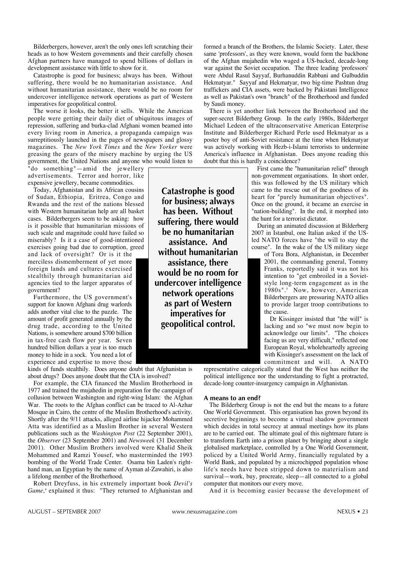Bilderbergers, however, aren't the only ones left scratching their heads as to how Western governments and their carefully chosen Afghan partners have managed to spend billions of dollars in development assistance with little to show for it.

Catastrophe is good for business; always has been. Without suffering, there would be no humanitarian assistance. And without humanitarian assistance, there would be no room for undercover intelligence network operations as part of Western imperatives for geopolitical control.

The worse it looks, the better it sells. While the American people were getting their daily diet of ubiquitous images of repression, suffering and burka-clad Afghani women beamed into every living room in America, a propaganda campaign was surreptitiously launched in the pages of newspapers and glossy magazines. The *New York Times* and the *New Yorker* were greasing the gears of the misery machine by urging the US government, the United Nations and anyone who would listen to

"do something"—amid the jewellery advertisements. Terror and horror, like expensive jewellery, became commodities.

Today, Afghanistan and its African cousins of Sudan, Ethiopia, Eritrea, Congo and Rwanda and the rest of the nations blessed with Western humanitarian help are all basket cases. Bilderbergers seem to be asking: how is it possible that humanitarian missions of such scale and magnitude could have failed so miserably? Is it a case of good-intentioned exercises going bad due to corruption, greed and lack of oversight? Or is it the

merciless dismemberment of yet more foreign lands and cultures exercised stealthily through humanitarian aid agencies tied to the larger apparatus of government?

Furthermore, the US government's support for known Afghani drug warlords adds another vital clue to the puzzle. The amount of profit generated annually by the drug trade, according to the United Nations, is somewhere around \$700 billion in tax-free cash flow per year. Seven hundred billion dollars a year is too much money to hide in a sock. You need a lot of experience and expertise to move those

kinds of funds stealthily. Does anyone doubt that Afghanistan is about drugs? Does anyone doubt that the CIA is involved?

For example, the CIA financed the Muslim Brotherhood in 1977 and trained the mujahedin in preparation for the campaign of collusion between Washington and right-wing Islam: the Afghan War. The roots to the Afghan conflict can be traced to Al-Azhar Mosque in Cairo, the centre of the Muslim Brotherhood's activity. Shortly after the 9/11 attacks, alleged airline hijacker Mohammed Atta was identified as a Muslim Brother in several Western publications such as the *Washington Post* (22 September 2001), the *Observer* (23 September 2001) and *Newsweek* (31 December 2001). Other Muslim Brothers involved were Khalid Sheik Mohammed and Ramzi Yousef, who masterminded the 1993 bombing of the World Trade Center. Osama bin Laden's righthand man, an Egyptian by the name of Ayman al-Zawahiri, is also a lifelong member of the Brotherhood.

Robert Dreyfuss, in his extremely important book *Devil's Game*, <sup>4</sup> explained it thus: "They returned to Afghanistan and

**Catastrophe is good for business; always has been. Without suffering, there would be no humanitarian assistance. And without humanitarian assistance, there would be no room for undercover intelligence network operations as part of Western imperatives for geopolitical control.** 

formed a branch of the Brothers, the Islamic Society. Later, these same 'professors', as they were known, would form the backbone of the Afghan mujahedin who waged a US-backed, decade-long war against the Soviet occupation. The three leading 'professors' were Abdul Rasul Sayyaf, Burhanuddin Rabbani and Gulbuddin Hekmatyar." Sayyaf and Hekmatyar, two big-time Pashtun drug traffickers and CIA assets, were backed by Pakistani Intelligence as well as Pakistan's own "branch" of the Brotherhood and funded by Saudi money.

There is yet another link between the Brotherhood and the super-secret Bilderberg Group. In the early 1980s, Bilderberger Michael Ledeen of the ultraconservative American Enterprise Institute and Bilderberger Richard Perle used Hekmatyar as a poster boy of anti-Soviet resistance at the time when Hekmatyar was actively working with Hezb-i-Islami terrorists to undermine America's influence in Afghanistan. Does anyone reading this doubt that this is hardly a coincidence?

First came the "humanitarian relief" through non-government organisations. In short order, this was followed by the US military which came to the rescue out of the goodness of its heart for "purely humanitarian objectives". Once on the ground, it became an exercise in "nation-building". In the end, it morphed into the hunt for a terrorist dictator.

During an animated discussion at Bilderberg 2007 in Istanbul, one Italian asked if the USled NATO forces have "the will to stay the course". In the wake of the US military siege

of Tora Bora, Afghanistan, in December 2001, the commanding general, Tommy Franks, reportedly said it was not his intention to "get embroiled in a Sovietstyle long-term engagement as in the 1980s".<sup>5</sup> Now, however, American Bilderbergers are pressuring NATO allies to provide larger troop contributions to the cause.

Dr Kissinger insisted that "the will" is lacking and so "we must now begin to acknowledge our limits". "The choices facing us are very difficult," reflected one European Royal, wholeheartedly agreeing with Kissinger's assessment on the lack of commitment and will. A NATO

representative categorically stated that the West has neither the political intelligence nor the understanding to fight a protracted, decade-long counter-insurgency campaign in Afghanistan.

## **A means to an end?**

The Bilderberg Group is not the end but the means to a future One World Government. This organisation has grown beyond its secretive beginnings to become a virtual shadow government which decides in total secrecy at annual meetings how its plans are to be carried out. The ultimate goal of this nightmare future is to transform Earth into a prison planet by bringing about a single globalised marketplace, controlled by a One World Government, policed by a United World Army, financially regulated by a World Bank, and populated by a microchipped population whose life's needs have been stripped down to materialism and survival—work, buy, procreate, sleep—all connected to a global computer that monitors our every move.

And it is becoming easier because the development of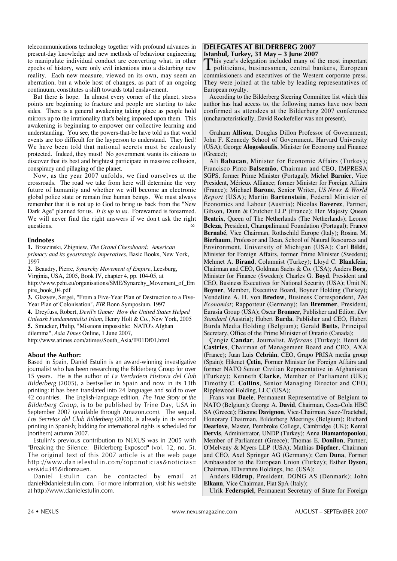telecommunications technology together with profound advances in present-day knowledge and new methods of behaviour engineering to manipulate individual conduct are converting what, in other epochs of history, were only evil intentions into a disturbing new reality. Each new measure, viewed on its own, may seem an aberration, but a whole host of changes, as part of an ongoing continuum, constitutes a shift towards total enslavement.

But there is hope. In almost every corner of the planet, stress points are beginning to fracture and people are starting to take sides. There is a general awakening taking place as people hold mirrors up to the irrationality that's being imposed upon them. This awakening is beginning to empower our collective learning and understanding. You see, the powers-that-be have told us that world events are too difficult for the layperson to understand. They lied! We have been told that national secrets must be zealously protected. Indeed, they must! No government wants its citizens to discover that its best and brightest participate in massive collusion, conspiracy and pillaging of the planet.

Now, as the year 2007 unfolds, we find ourselves at the crossroads. The road we take from here will determine the very future of humanity and whether we will become an electronic global police state or remain free human beings. We must always remember that it is not up to God to bring us back from the "New Dark Age" planned for us. *It is up to us*. Forewarned is forearmed. We will never find the right answers if we don't ask the right questions.

### **Endnotes**

**1.** Brzezinski, Zbigniew, *The Grand Chessboard: American primacy and its geostrategic imperatives*, Basic Books, New York, 1997

**2.** Beaudry, Pierre, *Synarchy Movement of Empire*, Leesburg, Virginia, USA, 2005, Book IV, chapter 4, pp. 104-05, at http://www.pehi.eu/organisations/SME/Synarchy\_Movement\_of\_Em pire\_book\_04.pdf

**3.** Glazyev, Sergei, "From a Five-Year Plan of Destruction to a Five-Year Plan of Colonisation", *EIR* Bonn Symposium, 1997

**4.** Dreyfuss, Robert, *Devil's Game: How the United States Helped*

*Unleash Fundamentalist Islam*, Henry Holt & Co., New York, 2005

**5.** Smucker, Philip, "Missions impossible: NATO's Afghan

dilemma", *Asia Times* Online, 1 June 2007,

http://www.atimes.com/atimes/South\_Asia/IF01Df01.html

# **About the Author:**

Based in Spain, Daniel Estulin is an award-winning investigative journalist who has been researching the Bilderberg Group for over 15 years. He is the author of *La Verdadera Historia del Club Bilderberg* (2005), a bestseller in Spain and now in its 13th printing; it has been translated into 24 languages and sold to over 42 countries. The English-language edition, *The True Story of the Bilderberg Group*, is to be published by Trine Day, USA in September 2007 (available through Amazon.com). The sequel, *Los Secretos del Club Bilderberg* (2006), is already in its second printing in Spanish; bidding for international rights is scheduled for (northern) autumn 2007.

Estulin's previous contribution to NEXUS was in 2005 with "Breaking the Silence: Bilderberg Exposed" (vol. 12, no. 5). The original text of this 2007 article is at the web page http://www.danielestulin.com/?op=noticias&noticias= ver&id=345&idioma=en.

Daniel Estulin can be contacted by email at daniel@danielestulin.com. For more information, visit his website at http://www.danielestulin.com.

# **DELEGATES AT BILDERBERG 2007**

**Istanbul, Turkey, 31 May – 3 June 2007**<br>**This year's delegation included many of the most important** This year's delegation included many of the most important<br>politicians, businessmen, central bankers, European commissioners and executives of the Western corporate press. They were joined at the table by leading representatives of European royalty.

According to the Bilderberg Steering Committee list which this author has had access to, the following names have now been confirmed as attendees at the Bilderberg 2007 conference (uncharacteristically, David Rockefeller was not present).

Graham **Allison**, Douglas Dillon Professor of Government, John F. Kennedy School of Government, Harvard University (USA); George **Alogoskoufis**, Minister for Economy and Finance (Greece);

Ali **Babacan**, Minister for Economic Affairs (Turkey); Francisco Pinto **Balsemão**, Chairman and CEO, IMPRESA SGPS, former Prime Minister (Portugal); Michel **Barnier**, Vice President, Mérieux Alliance; former Minister for Foreign Affairs (France); Michael **Barone**, Senior Writer, *US News & World Report* (USA); Martin **Bartenstein**, Federal Minister of Economics and Labour (Austria); Nicolas **Baverez**, Partner, Gibson, Dunn & Crutcher LLP (France); Her Majesty Queen **Beatrix**, Queen of The Netherlands (The Netherlands); Leonor **Beleza**, President, Champalimaud Foundation (Portugal); Franco **Bernabé**, Vice Chairman, Rothschild Europe (Italy); Rosina M. **Bierbaum**, Professor and Dean, School of Natural Resources and Environment, University of Michigan (USA); Carl **Bildt**, Minister for Foreign Affairs, former Prime Minister (Sweden); Mehmet A. **Birand**, Columnist (Turkey); Lloyd C. **Blankfein**, Chairman and CEO, Goldman Sachs & Co. (USA); Anders **Borg**, Minister for Finance (Sweden); Charles G. **Boyd**, President and CEO, Business Executives for National Security (USA); Ümit N. **Boyner**, Member, Executive Board, Boyner Holding (Turkey); Vendeline A. H. von **Bredow**, Business Correspondent, *The Economist*; Rapporteur (Germany); Ian **Bremmer**, President, Eurasia Group (USA); Oscar **Bronner**, Publisher and Editor, *Der Standard* (Austria); Hubert **Burda**, Publisher and CEO, Hubert Burda Media Holding (Belgium); Gerald **Butts**, Principal Secretary, Office of the Prime Minister of Ontario (Canada);

Çengiz **Candar**, Journalist, *Referans* (Turkey); Henri de **Castries**, Chairman of Management Board and CEO, AXA (France); Juan Luis **Cebrián**, CEO, Grupo PRISA media group (Spain); Hikmet **Çetin**, Former Minister for Foreign Affairs and former NATO Senior Civilian Representative in Afghanistan (Turkey); Kenneth **Clarke**, Member of Parliament (UK); Timothy C. **Collins**, Senior Managing Director and CEO, Ripplewood Holding, LLC (USA);

Frans van **Daele**, Permanent Representative of Belgium to NATO (Belgium); George A. **David**, Chairman, Coca-Cola HBC SA (Greece); Etienne **Davignon**, Vice-Chairman, Suez-Tractebel, Honorary Chairman, Bilderberg Meetings (Belgium); Richard **Dearlove**, Master, Pembroke College, Cambridge (UK); Kemal **Dervis**, Administrator, UNDP (Turkey); Anna **Diamantopoulou**, Member of Parliament (Greece); Thomas E. **Donilon**, Partner, O'Melveny & Myers LLP (USA); Mathias **Döpfner**, Chairman and CEO, Axel Springer AG (Germany); Cem **Duna**, Former Ambassador to the European Union (Turkey); Esther **Dyson**, Chairman, EDventure Holdings, Inc. (USA);

Anders **Eldrup**, President, DONG AS (Denmark); John **Elkann**, Vice Chairman, Fiat SpA (Italy);

Ulrik **Federspiel**, Permanent Secretary of State for Foreign